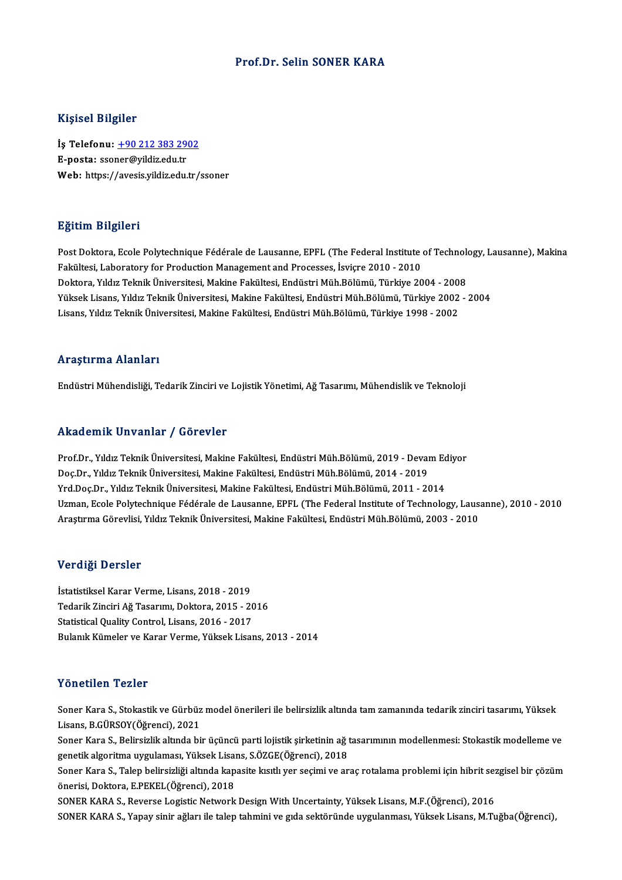#### Prof.Dr. Selin SONER KARA

#### Kişisel Bilgiler

Kişisel Bilgiler<br>İş Telefonu: <u>+90 212 383 2902</u><br>E nosta: ssanar@vildizedu.tr 11131001 21151101<br>İş Telefonu: <u>+90 212 383 29</u><br>E-posta: sso[ner@yildiz.edu.tr](tel:+90 212 383 2902)<br>Web: https://avesis.vildiz.edu.tr E-posta: ssoner@yildiz.edu.tr<br>Web: https://avesis.yildiz.edu.tr/ssoner

#### Eğitim Bilgileri

Post Doktora, Ecole Polytechnique Fédérale de Lausanne, EPFL (The Federal Institute of Technology, Lausanne), Makina Fakültesi, Laboratory for Production Management and Processes, İsviçre 2010 - 2010 Doktora, Yıldız Teknik Üniversitesi, Makine Fakültesi, Endüstri Müh.Bölümü, Türkiye 2004 - 2008 Fakültesi, Laboratory for Production Management and Processes, İsviçre 2010 - 2010<br>Doktora, Yıldız Teknik Üniversitesi, Makine Fakültesi, Endüstri Müh.Bölümü, Türkiye 2004 - 2008<br>Yüksek Lisans, Yıldız Teknik Üniversitesi, Doktora, Yıldız Teknik Üniversitesi, Makine Fakültesi, Endüstri Müh.Bölümü, Türkiye 2004 - 200<br>Yüksek Lisans, Yıldız Teknik Üniversitesi, Makine Fakültesi, Endüstri Müh.Bölümü, Türkiye 2002<br>Lisans, Yıldız Teknik Üniversite Lisans, Yıldız Teknik Üniversitesi, Makine Fakültesi, Endüstri Müh.Bölümü, Türkiye 1998 - 2002<br>Araştırma Alanları

Endüstri Mühendisliği, Tedarik Zinciri ve Lojistik Yönetimi, Ağ Tasarımı, Mühendislik ve Teknoloji

#### Akademik Unvanlar / Görevler

Prof.Dr., Yıldız Teknik Üniversitesi, Makine Fakültesi, Endüstri Müh.Bölümü, 2019 - Devam Ediyor rındu olirin "Oliv diridi" 7 "dörevler"<br>Prof.Dr., Yıldız Teknik Üniversitesi, Makine Fakültesi, Endüstri Müh.Bölümü, 2019 - Devai<br>Doç.Dr., Yıldız Teknik Üniversitesi, Makine Fakültesi, Endüstri Müh.Bölümü, 2014 - 2019<br>Yrd Prof.Dr., Yıldız Teknik Üniversitesi, Makine Fakültesi, Endüstri Müh.Bölümü, 2019 - Devam Ec<br>Doç.Dr., Yıldız Teknik Üniversitesi, Makine Fakültesi, Endüstri Müh.Bölümü, 2014 - 2019<br>Yrd.Doç.Dr., Yıldız Teknik Üniversitesi, Doç.Dr., Yıldız Teknik Üniversitesi, Makine Fakültesi, Endüstri Müh.Bölümü, 2014 - 2019<br>Yrd.Doç.Dr., Yıldız Teknik Üniversitesi, Makine Fakültesi, Endüstri Müh.Bölümü, 2011 - 2014<br>Uzman, Ecole Polytechnique Fédérale de Lau Yrd.Doç.Dr., Yıldız Teknik Üniversitesi, Makine Fakültesi, Endüstri Müh.Bölümü, 2011 - 2014<br>Uzman, Ecole Polytechnique Fédérale de Lausanne, EPFL (The Federal Institute of Technology, Laus:<br>Araştırma Görevlisi, Yıldız Tekn Araştırma Görevlisi, Yıldız Teknik Üniversitesi, Makine Fakültesi, Endüstri Müh.Bölümü, 2003 - 2010<br>Verdiği Dersler

İstatistiksel Karar Verme, Lisans, 2018 - 2019 Tedarik Zinciri Ağ Tasarımı, Doktora, 2015 - 2016 Statistical Quality Control, Lisans, 2016 - 2017 Bulanık Kümeler ve Karar Verme, Yüksek Lisans, 2013 - 2014

#### Yönetilen Tezler

Soner Kara S., Stokastik ve Gürbüz model önerileri ile belirsizlik altında tam zamanında tedarik zinciri tasarımı, Yüksek Lisans,B.GÜRSOY(Öğrenci),2021 Soner Kara S., Stokastik ve Gürbüz model önerileri ile belirsizlik altında tam zamanında tedarik zinciri tasarımı, Yüksek<br>Lisans, B.GÜRSOY(Öğrenci), 2021<br>Soner Kara S., Belirsizlik altında bir üçüncü parti lojistik şirketi

Lisans, B.GÜRSOY(Öğrenci), 2021<br>Soner Kara S., Belirsizlik altında bir üçüncü parti lojistik şirketinin ağ t<br>genetik algoritma uygulaması, Yüksek Lisans, S.ÖZGE(Öğrenci), 2018<br>Soner Kara S. Talen belirgizliği altında kanas Soner Kara S., Belirsizlik altında bir üçüncü parti lojistik şirketinin ağ tasarımının modellenmesi: Stokastik modelleme ve<br>genetik algoritma uygulaması, Yüksek Lisans, S.ÖZGE(Öğrenci), 2018<br>Soner Kara S., Talep belirsizli

genetik algoritma uygulaması, Yüksek Lisa<br>Soner Kara S., Talep belirsizliği altında kap<br>önerisi, Doktora, E.PEKEL(Öğrenci), 2018<br>SONEP KARA S. Peyenee Logistis Netwerk Soner Kara S., Talep belirsizliği altında kapasite kısıtlı yer seçimi ve araç rotalama problemi için hibrit se<mark>z</mark><br>önerisi, Doktora, E.PEKEL(Öğrenci), 2018<br>SONER KARA S., Reverse Logistic Network Design With Uncertainty, Yü

önerisi, Doktora, E.PEKEL(Öğrenci), 2018<br>SONER KARA S., Reverse Logistic Network Design With Uncertainty, Yüksek Lisans, M.F.(Öğrenci), 2016<br>SONER KARA S., Yapay sinir ağları ile talep tahmini ve gıda sektöründe uygulanmas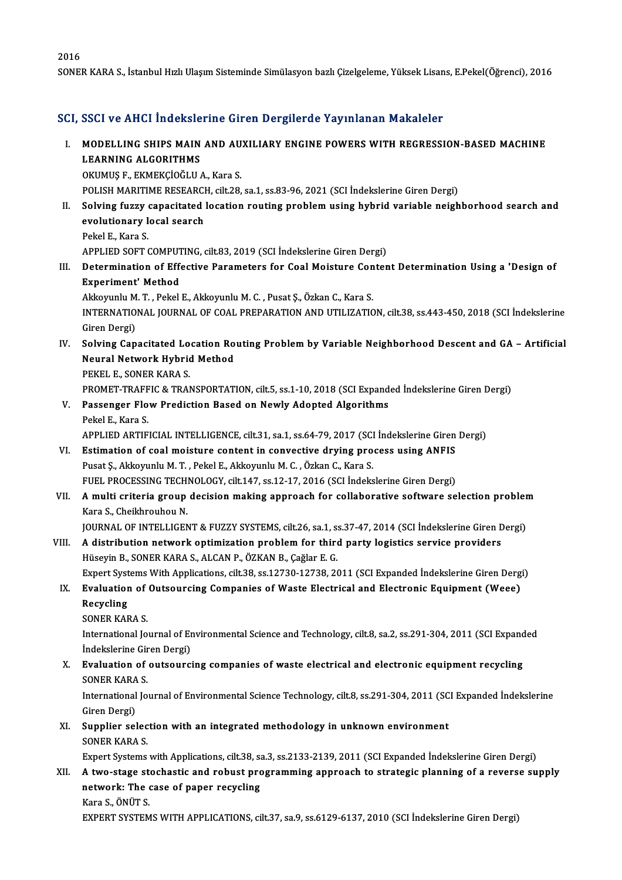SONER KARA S., İstanbul Hızlı Ulaşım Sisteminde Simülasyon bazlı Çizelgeleme, Yüksek Lisans, E.Pekel(Öğrenci), 2016

#### SCI, SSCI ve AHCI İndekslerine Giren Dergilerde Yayınlanan Makaleler

CI, SSCI ve AHCI İndekslerine Giren Dergilerde Yayınlanan Makaleler<br>I. MODELLING SHIPS MAIN AND AUXILIARY ENGINE POWERS WITH REGRESSION-BASED MACHINE<br>I FARNING ALGORITHMS **MODELLING SHIPS MAIN<br>LEARNING ALGORITHMS<br>OVIMUS E EVMEVCIOČI II** MODELLING SHIPS MAIN AND AU<br>LEARNING ALGORITHMS<br>OKUMUŞ F., EKMEKÇİOĞLU A., Kara S.<br>POLISH MARITIME RESEARCH çili 29 LEARNING ALGORITHMS<br>OKUMUŞ F., EKMEKÇİOĞLU A., Kara S.<br>POLISH MARITIME RESEARCH, cilt.28, sa.1, ss.83-96, 2021 (SCI İndekslerine Giren Dergi)

- OKUMUŞ F., EKMEKÇİOĞLU A., Kara S.<br>POLISH MARITIME RESEARCH, cilt.28, sa.1, ss.83-96, 2021 (SCI İndekslerine Giren Dergi)<br>II. Solving fuzzy capacitated location routing problem using hybrid variable neighborhood search POLISH MARITIME RESEARCI<br>Solving fuzzy capacitated<br>evolutionary local search<br>Pekel E. Kare S **Solving fuzzy<br>evolutionary l<br>Pekel E., Kara S.<br>APPLIED SOET (** 
	- evolutionary local search<br>Pekel E., Kara S.<br>APPLIED SOFT COMPUTING, cilt.83, 2019 (SCI İndekslerine Giren Dergi)<br>Determination of Effective Barametars for Goal Moisture Gonton
- Pekel E., Kara S.<br>APPLIED SOFT COMPUTING, cilt.83, 2019 (SCI Indekslerine Giren Dergi)<br>III. Determination of Effective Parameters for Coal Moisture Content Determination Using a 'Design of<br>Funeriment' Method APPLIED SOFT COMPUT<br>Determination of Eff<br>Experiment' Method<br>Altraunh: M.T. Peltol Determination of Effective Parameters for Coal Moisture Con<br>Experiment' Method<br>Akkoyunlu M. T. , Pekel E., Akkoyunlu M. C. , Pusat Ş., Özkan C., Kara S.<br>INTERNATIONAL JOURNAL OF COAL PRERARATION AND UTU IZATIC

Experiment' Method<br>Akkoyunlu M. T. , Pekel E., Akkoyunlu M. C. , Pusat Ş., Özkan C., Kara S.<br>INTERNATIONAL JOURNAL OF COAL PREPARATION AND UTILIZATION, cilt.38, ss.443-450, 2018 (SCI İndekslerine<br>Ciron Dergi) Akkoyunlu M<br>INTERNATIO<br>Giren Dergi)<br>Selving Can INTERNATIONAL JOURNAL OF COAL PREPARATION AND UTILIZATION, cilt.38, ss.443-450, 2018 (SCI İndekslerine<br>Giren Dergi)<br>IV. Solving Capacitated Location Routing Problem by Variable Neighborhood Descent and GA – Artificial<br>Neur

Giren Dergi)<br>Solving Capacitated Location Ro<br>Neural Network Hybrid Method<br>PEKEL E, SONER KARA S Solving Capacitated Lo<br>Neural Network Hybric<br>PEKEL E., SONER KARA S.<br>PPOMET TPAEEIC & TPAI Neural Network Hybrid Method<br>PEKEL E., SONER KARA S.<br>PROMET-TRAFFIC & TRANSPORTATION, cilt.5, ss.1-10, 2018 (SCI Expanded İndekslerine Giren Dergi)

- PEKEL E., SONER KARA S.<br>PROMET-TRAFFIC & TRANSPORTATION, cilt.5, ss.1-10, 2018 (SCI Expand<br>V. Passenger Flow Prediction Based on Newly Adopted Algorithms<br>Pekal E. Kara S. PROMET-TRAFF<br>Passenger Flo<br>Pekel E., Kara S.<br>APPLIED APTIE Passenger Flow Prediction Based on Newly Adopted Algorithms<br>Pekel E., Kara S.<br>APPLIED ARTIFICIAL INTELLIGENCE, cilt.31, sa.1, ss.64-79, 2017 (SCI İndekslerine Giren Dergi)<br>Estimation of seal maisture sentent in senyestiye Pekel E., Kara S.<br>APPLIED ARTIFICIAL INTELLIGENCE, cilt.31, sa.1, ss.64-79, 2017 (SCI İndekslerine Giren<br>VI. Estimation of coal moisture content in convective drying process using ANFIS<br>Puset S. Akkownly M.T. Pekel E. Akko
- APPLIED ARTIFICIAL INTELLIGENCE, cilt.31, sa.1, ss.64-79, 2017 (SCI<br>Estimation of coal moisture content in convective drying pro<br>Pusat Ş., Akkoyunlu M.T., Pekel E., Akkoyunlu M. C. , Özkan C., Kara S.<br>FUEL PROCESSING TECHN Estimation of coal moisture content in convective drying process using ANFIS<br>Pusat Ş., Akkoyunlu M. T. , Pekel E., Akkoyunlu M. C. , Özkan C., Kara S.<br>FUEL PROCESSING TECHNOLOGY, cilt.147, ss.12-17, 2016 (SCI İndekslerine Pusat Ş., Akkoyunlu M. T. , Pekel E., Akkoyunlu M. C. , Özkan C., Kara S.<br>FUEL PROCESSING TECHNOLOGY, cilt.147, ss.12-17, 2016 (SCI İndekslerine Giren Dergi)<br>VII. A multi criteria group decision making approach for col
- FUEL PROCESSING TECH<br>**A multi criteria group<br>Kara S., Cheikhrouhou N.**<br>JOUPNAJ OE INTELLICEN A multi criteria group decision making approach for collaborative software selection probler<br>Kara S., Cheikhrouhou N.<br>JOURNAL OF INTELLIGENT & FUZZY SYSTEMS, cilt.26, sa.1, ss.37-47, 2014 (SCI İndekslerine Giren Dergi)<br>A d

JOURNAL OF INTELLIGENT & FUZZY SYSTEMS, cilt.26, sa.1, ss.37-47, 2014 (SCI Indekslerine Giren Dergi)

### Kara S., Cheikhrouhou N.<br>JOURNAL OF INTELLIGENT & FUZZY SYSTEMS, cilt.26, sa.1, ss.37-47, 2014 (SCI Indekslerine Giren D<br>VIII. A distribution network optimization problem for third party logistics service providers<br>Hüseyin A distribution network optimization problem for third party logistics service providers<br>Hüseyin B., SONER KARA S., ALCAN P., ÖZKAN B., Çağlar E. G.<br>Expert Systems With Applications, cilt.38, ss.12730-12738, 2011 (SCI Expan Hüseyin B., SONER KARA S., ALCAN P., ÖZKAN B., Çağlar E. G.<br>Expert Systems With Applications, cilt.38, ss.12730-12738, 2011 (SCI Expanded İndekslerine Giren Derg<br>IX. Evaluation of Outsourcing Companies of Waste Electrical

Expert Syst<br><mark>Evaluatior</mark><br>Recycling<br>SONER KAR Evaluation of<br>Recycling<br>SONER KARA S.<br>International Io

Recycling<br>SONER KARA S.<br>International Journal of Environmental Science and Technology, cilt.8, sa.2, ss.291-304, 2011 (SCI Expanded<br>Indekslerine Ciren Dergi) SONER KARA S.<br>International Journal of En<br>İndekslerine Giren Dergi)<br>Evaluation of outcoursi International Journal of Environmental Science and Technology, cilt.8, sa.2, ss.291-304, 2011 (SCI Expand<br>
indekslerine Giren Dergi)<br>
X. Evaluation of outsourcing companies of waste electrical and electronic equipment recy

### İndekslerine Giren Dergi)<br>X. Evaluation of outsourcing companies of waste electrical and electronic equipment recycling<br>SONER KARA S. Evaluation of outsourcing companies of waste electrical and electronic equipment recycling<br>SONER KARA S.<br>International Journal of Environmental Science Technology, cilt.8, ss.291-304, 2011 (SCI Expanded İndekslerine<br>Ciron

SONER KARA<br>International<br>Giren Dergi)<br>Sunnliar col International Journal of Environmental Science Technology, cilt.8, ss.291-304, 2011 (SC<br>Giren Dergi)<br>XI. Supplier selection with an integrated methodology in unknown environment<br>SONER KARA S

### Giren Dergi)<br>XI. Supplier selection with an integrated methodology in unknown environment<br>SONER KARA S. Supplier selection with an integrated methodology in unknown environment<br>SONER KARA S.<br>Expert Systems with Applications, cilt.38, sa.3, ss.2133-2139, 2011 (SCI Expanded İndekslerine Giren Dergi)<br>A two stage stechastic and

### XII. A two-stage stochastic and robust programming approach to strategic planning of a reverse supply network: The case of paper recycling Expert Systems with Applications, cilt.38, sa<br>A two-stage stochastic and robust pro<br>network: The case of paper recycling<br>Kara S. ÖNÜT S. Kara S.,ÖNÜTS.

EXPERT SYSTEMS WITH APPLICATIONS, cilt.37, sa.9, ss.6129-6137, 2010 (SCI İndekslerine Giren Dergi)

2016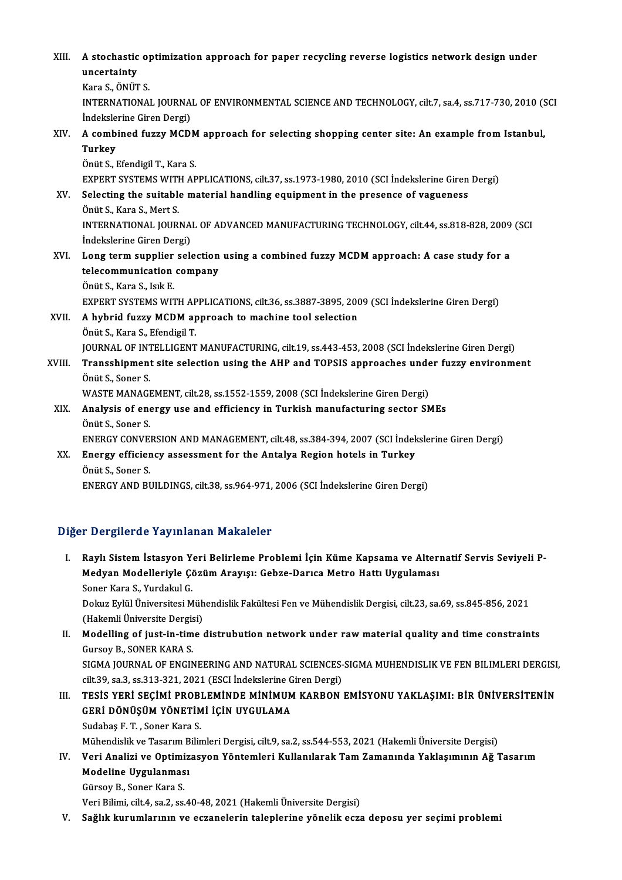XI I. A stochastic optimization approach for paper recycling reverse logistics network design under **A** stochastic<br>uncertainty<br><sup>Kono S. ÖNÜT</sub></sup> uncertainty<br>Kara S., ÖNÜT S. uncertainty<br>Kara S., ÖNÜT S.<br>INTERNATIONAL JOURNAL OF ENVIRONMENTAL SCIENCE AND TECHNOLOGY, cilt.7, sa.4, ss.717-730, 2010 (SCI Kara S., ÖNÜT S.<br>INTERNATIONAL JOURNA<br>İndekslerine Giren Dergi)<br>A combined furry MCD INTERNATIONAL JOURNAL OF ENVIRONMENTAL SCIENCE AND TECHNOLOGY, cilt.7, sa.4, ss.717-730, 2010 (S<br>Indekslerine Giren Dergi)<br>XIV. A combined fuzzy MCDM approach for selecting shopping center site: An example from Istanbu İndeksle<br>A comb<br>Turkey<br>Önüt S A combined fuzzy MCDM<br>Turkey<br>Önüt S., Efendigil T., Kara S.<br>EYBERT SYSTEMS WITH AR Turkey<br>Önüt S., Efendigil T., Kara S.<br>EXPERT SYSTEMS WITH APPLICATIONS, cilt.37, ss.1973-1980, 2010 (SCI İndekslerine Giren Dergi) Önüt S., Efendigil T., Kara S.<br>EXPERT SYSTEMS WITH APPLICATIONS, cilt.37, ss.1973-1980, 2010 (SCI İndekslerine Giren<br>XV. Selecting the suitable material handling equipment in the presence of vagueness<br>Önüt S. Kara S. Mort EXPERT SYSTEMS WITH<br>Selecting the suitable<br>Önüt S., Kara S., Mert S.<br>INTERNATIONAL JOURI Selecting the suitable material handling equipment in the presence of vagueness<br>Önüt S., Kara S., Mert S.<br>INTERNATIONAL JOURNAL OF ADVANCED MANUFACTURING TECHNOLOGY, cilt.44, ss.818-828, 2009 (SCI Önüt S., Kara S., Mert S.<br>INTERNATIONAL JOURNA<br>İndekslerine Giren Dergi)<br>Long term sunnlier sel INTERNATIONAL JOURNAL OF ADVANCED MANUFACTURING TECHNOLOGY, cilt.44, ss.818-828, 2009<br>indekslerine Giren Dergi)<br>XVI. Long term supplier selection using a combined fuzzy MCDM approach: A case study for a<br>telecommunication c İndekslerine Giren Dergi)<br>Long term supplier selection<br>telecommunication company<br>Önüt S. Kara S. Jak E Long term supplier<br>telecommunication<br>Önüt S., Kara S., Isık E.<br>EYBERT SYSTEMS WIT telecommunication company<br>Önüt S., Kara S., Isık E.<br>EXPERT SYSTEMS WITH APPLICATIONS, cilt.36, ss.3887-3895, 2009 (SCI İndekslerine Giren Dergi)<br>A hyhrid fuggy MCDM approach ta mashina taol solastion Önüt S., Kara S., Isik E.<br>EXPERT SYSTEMS WITH APPLICATIONS, cilt.36, ss.3887-3895, 200<br>XVII. A hybrid fuzzy MCDM approach to machine tool selection<br>Önüt S., Kara S., Efendigil T. EXPERT SYSTEMS WITH AP<br>A hybrid fuzzy MCDM ap<br>Önüt S., Kara S., Efendigil T.<br>JOUPNAL OF INTELLICENT A hybrid fuzzy MCDM approach to machine tool selection<br>Önüt S., Kara S., Efendigil T.<br>JOURNAL OF INTELLIGENT MANUFACTURING, cilt.19, ss.443-453, 2008 (SCI İndekslerine Giren Dergi)<br>Transahinmant sita selestian using the AH Önüt S., Kara S., Efendigil T.<br>JOURNAL OF INTELLIGENT MANUFACTURING, cilt.19, ss.443-453, 2008 (SCI İndekslerine Giren Dergi)<br>XVIII. Transshipment site selection using the AHP and TOPSIS approaches under fuzzy environm **JOURNAL OF INT<br>Transshipment<br>Önüt S., Soner S.<br>WASTE MANACI** Transshipment site selection using the AHP and TOPSIS approaches under fuzzy environment<br>Önüt S., Soner S.<br>WASTE MANAGEMENT, cilt.28, ss.1552-1559, 2008 (SCI İndekslerine Giren Dergi) Önüt S., Soner S.<br>WASTE MANAGEMENT, cilt.28, ss.1552-1559, 2008 (SCI İndekslerine Giren Dergi)<br>XIX. Analysis of energy use and efficiency in Turkish manufacturing sector SMEs<br>Önüt S. Soner S WASTE MANAGI<br>**Analysis of ene**<br>Önüt S., Soner S.<br>ENERCY CONVEI Analysis of energy use and efficiency in Turkish manufacturing sector SMEs<br>Önüt S., Soner S.<br>ENERGY CONVERSION AND MANAGEMENT, cilt.48, ss.384-394, 2007 (SCI İndekslerine Giren Dergi)<br>Energy efficiency assessment for the A Önüt S., Soner S.<br>ENERGY CONVERSION AND MANAGEMENT, cilt.48, ss.384-394, 2007 (SCI İndek<br>XX. Energy efficiency assessment for the Antalya Region hotels in Turkey<br>Önüt S. Soner S. ENERGY CONVE<br>Energy efficier<br>Önüt S., Soner S.<br>ENERCY AND PL XX. Energy efficiency assessment for the Antalya Region hotels in Turkey<br>Önüt S., Soner S.<br>ENERGY AND BUILDINGS, cilt.38, ss.964-971, 2006 (SCI İndekslerine Giren Dergi)

### Diğer Dergilerde Yayınlanan Makaleler

- I. Raylı Sistemİstasyon Yeri Belirleme Problemi İçin Küme Kapsama ve Alternatif Servis Seviyeli Pr Bergilerde Taylmandır Makaleler<br>Raylı Sistem İstasyon Yeri Belirleme Problemi İçin Küme Kapsama ve Alteri<br>Medyan Modelleriyle Çözüm Arayışı: Gebze-Darıca Metro Hattı Uygulaması Raylı Sistem İstasyon Y<br>Medyan Modelleriyle Ço<br>Soner Kara S., Yurdakul G.<br>Dolarz Evlül Üniversitesi M Medyan Modelleriyle Çözüm Arayışı: Gebze-Darıca Metro Hattı Uygulaması<br>Soner Kara S., Yurdakul G.<br>Dokuz Eylül Üniversitesi Mühendislik Fakültesi Fen ve Mühendislik Dergisi, cilt.23, sa.69, ss.845-856, 2021<br>(Hakamli Ünivers Soner Kara S., Yurdakul G.<br>Dokuz Eylül Üniversitesi Müh<br>(Hakemli Üniversite Dergisi)<br>Modelling of iust in time Dokuz Eylül Üniversitesi Mühendislik Fakültesi Fen ve Mühendislik Dergisi, cilt.23, sa.69, ss.845-856, 2021<br>(Hakemli Üniversite Dergisi)<br>II. Modelling of just-in-time distrubution network under raw material quality and tim
- (Hakemli Üniversite Dergis<br>Modelling of just-in-tim<br>Gursoy B., SONER KARA S.<br>SICMA JOUPNAL OF ENCIN Modelling of just-in-time distrubution network under raw material quality and time constraints<br>Gursoy B., SONER KARA S.<br>SIGMA JOURNAL OF ENGINEERING AND NATURAL SCIENCES-SIGMA MUHENDISLIK VE FEN BILIMLERI DERGISI,<br>sit 29, Gursoy B., SONER KARA S.<br>SIGMA JOURNAL OF ENGINEERING AND NATURAL SCIENCES-<br>cilt.39, sa.3, ss.313-321, 2021 (ESCI İndekslerine Giren Dergi)<br>TESİS YERİ SECİMİ PROPLEMİNDE MİNİMIM KARRON
- SIGMA JOURNAL OF ENGINEERING AND NATURAL SCIENCES-SIGMA MUHENDISLIK VE FEN BILIMLERI DERGISI,<br>cilt.39, sa.3, ss.313-321, 2021 (ESCI İndekslerine Giren Dergi)<br>III. TESİS YERİ SEÇİMİ PROBLEMİNDE MİNİMUM KARBON EMİSYONU YAKLA cilt.39, sa.3, ss.313-321, 2021 (ESCI İndekslerine G<br>TESİS YERİ SEÇİMİ PROBLEMİNDE MİNİMUM<br>GERİ DÖNÜŞÜM YÖNETİMİ İÇİN UYGULAMA<br>Sudabas E.T., Sanar Kara S Sudabaş F.T., Soner Kara S. Sudabaş F. T. , Soner Kara S.<br>Mühendislik ve Tasarım Bilimleri Dergisi, cilt.9, sa.2, ss.544-553, 2021 (Hakemli Üniversite Dergisi)<br>IV. Veri Analizi ve Optimizasyon Yöntemleri Kullanılarak Tam Zamanında Yaklaşımının Ağ

Mühendislik ve Tasarım Bilimleri Dergisi, cilt.9, sa.2, ss.544-553, 2021 (Hakemli Üniversite Dergisi)

- Mühendislik ve Tasarım B<br>Veri Analizi ve Optimiz<br>Modeline Uygulanması<br>Gürsev B. Sanar Kara S Veri Analizi ve Optimi<br>Modeline Uygulanmas<br>Gürsoy B., Soner Kara S.<br>Veri Bilimi silt 4, 89,2, 88 Modeline Uygulanması<br>Gürsoy B., Soner Kara S.<br>Veri Bilimi, cilt.4, sa.2, ss.40-48, 2021 (Hakemli Üniversite Dergisi)
	-

V. Sağlık kurumlarının ve eczanelerin taleplerine yönelik ecza deposu yer seçimi problemi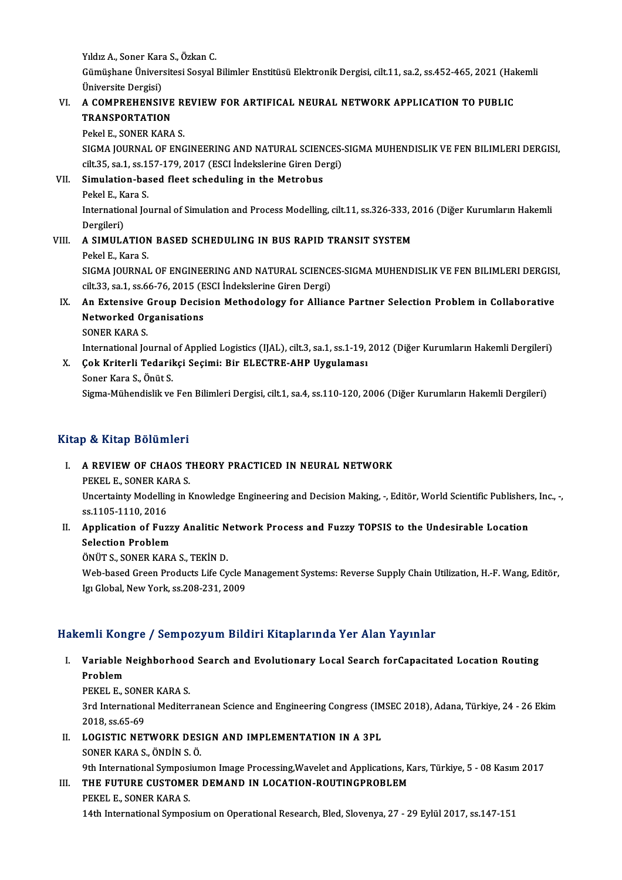Yıldız A., Soner Kara S., Özkan C.<br>Cümüsbane Üniversitesi Sesual

Gümüşhane Üniversitesi Sosyal Bilimler Enstitüsü Elektronik Dergisi, cilt.11, sa.2, ss.452-465, 2021 (Hakemli<br>Üniversite Dergisi) Yıldız A., Soner Kara<br>Gümüşhane Üniver:<br>Üniversite Dergisi)<br>A. COMPREHENSII Gümüşhane Üniversitesi Sosyal Bilimler Enstitüsü Elektronik Dergisi, cilt.11, sa.2, ss.452-465, 2021 (Hal<br>Üniversite Dergisi)<br>VI. – A COMPREHENSIVE REVIEW FOR ARTIFICAL NEURAL NETWORK APPLICATION TO PUBLIC<br>TRANSPORTATION

### Üniversite Dergisi)<br>A COMPREHENSIVE<br>TRANSPORTATION<br><sup>Dokol E</sup> SONER KARA A COMPREHENSIVE R<br>TRANSPORTATION<br>Pekel E., SONER KARA S.<br>SICMA JOUPNAL OF ENC

TRANSPORTATION<br>Pekel E., SONER KARA S.<br>SIGMA JOURNAL OF ENGINEERING AND NATURAL SCIENCES-SIGMA MUHENDISLIK VE FEN BILIMLERI DERGISI,<br>S<sup>ijt 25,</sup> se 1, se 157,179,2017 (ESCI Indekslering Giron Dergi) Pekel E., SONER KARA S.<br>SIGMA JOURNAL OF ENGINEERING AND NATURAL SCIENCES-<br>cilt.35, sa.1, ss.157-179, 2017 (ESCI İndekslerine Giren Dergi)<br>Simulation based fleet ssheduling in the Metrobus SIGMA JOURNAL OF ENGINEERING AND NATURAL SCIEN<br>cilt.35, sa.1, ss.157-179, 2017 (ESCI Indekslerine Giren De<br>VII. Simulation-based fleet scheduling in the Metrobus

# cilt.35, sa.1, ss.1.<br>Simulation-ba:<br>Pekel E., Kara S.<br>International Io

Si<mark>mulation-based fleet scheduling in the Metrobus</mark><br>Pekel E., Kara S.<br>International Journal of Simulation and Process Modelling, cilt.11, ss.326-333, 2016 (Diğer Kurumların Hakemli Pekel E., Ka<br>Internation<br>Dergileri)<br>A SIMIU A International Journal of Simulation and Process Modelling, cilt.11, ss.326-333, 2<br>Dergileri)<br>VIII. A SIMULATION BASED SCHEDULING IN BUS RAPID TRANSIT SYSTEM<br>Pekel E. Kare S

## Dergileri)<br>VIII. A SIMULATION BASED SCHEDULING IN BUS RAPID TRANSIT SYSTEM<br>Pekel E., Kara S.

A SIMULATION BASED SCHEDULING IN BUS RAPID TRANSIT SYSTEM<br>Pekel E., Kara S.<br>SIGMA JOURNAL OF ENGINEERING AND NATURAL SCIENCES-SIGMA MUHENDISLIK VE FEN BILIMLERI DERGISI,<br>S<sup>ilt 22</sup>. S2.1, S2.66, 76, 2015 (ESCI Indekslavine Pekel E., Kara S.<br>SIGMA JOURNAL OF ENGINEERING AND NATURAL SCIENCI<br>cilt.33, sa.1, ss.66-76, 2015 (ESCI İndekslerine Giren Dergi)<br>An Eutenaive Creup Desision Methodelegy for Allian SIGMA JOURNAL OF ENGINEERING AND NATURAL SCIENCES-SIGMA MUHENDISLIK VE FEN BILIMLERI DERGISI<br>cilt.3.3, sa.1, ss.66-76, 2015 (ESCI İndekslerine Giren Dergi)<br>IX. An Extensive Group Decision Methodology for Alliance Partner S

### cilt.33, sa.1, ss.66-76, 2015 (E<br>An Extensive Group Decis<br>Networked Organisations<br>SONER KARA S An Extensive<br>Networked Or<br>SONER KARA S.<br>International Jo Networked Organisations<br>SONER KARA S.<br>International Journal of Applied Logistics (IJAL), cilt.3, sa.1, ss.1-19, 2012 (Diğer Kurumların Hakemli Dergileri)<br>Cek Kriterli Tederiksi Sesimi: Bir ELECTRE AHR Uygulamesı

### SONER KARA S.<br>International Journal of Applied Logistics (IJAL), cilt.3, sa.1, ss.1-19,<br>X. Cok Kriterli Tedarikçi Seçimi: Bir ELECTRE-AHP Uygulaması<br>Soner Kara S., Önüt S. International Journal<br>**Çok Kriterli Tedaril**<br>Soner Kara S., Önüt S.<br>Sigma Mühendielik*u*e

Sigma-Mühendislik ve Fen Bilimleri Dergisi, cilt.1, sa.4, ss.110-120, 2006 (Diğer Kurumların Hakemli Dergileri)

### Kitap & Kitap Bölümleri

### Itap & Kitap Bölümleri<br>I. – A REVIEW OF CHAOS THEORY PRACTICED IN NEURAL NETWORK<br>REVEL E SONER KARA S PEREL E., SONER KARA S.<br>PEKEL E., SONER KARA S.<br>Uncertainty Modelling in L

A REVIEW OF CHAOS THEORY PRACTICED IN NEURAL NETWORK<br>PEKEL E., SONER KARA S.<br>Uncertainty Modelling in Knowledge Engineering and Decision Making, -, Editör, World Scientific Publishers, Inc., -, PEKEL E., SONER KA<br>Uncertainty Modellin<br>ss.1105-1110, 2016 Uncertainty Modelling in Knowledge Engineering and Decision Making, -, Editör, World Scientific Publisher<br>ss.1105-1110, 2016<br>II. Application of Fuzzy Analitic Network Process and Fuzzy TOPSIS to the Undesirable Location<br>Se

## ss.1105-1110, 2016<br>II. Application of Fuzzy Analitic Network Process and Fuzzy TOPSIS to the Undesirable Location<br>Selection Problem

ÖNÜTS.,SONERKARAS.,TEKİND.

Selection Problem<br>ÖNÜT S., SONER KARA S., TEKİN D.<br>Web-based Green Products Life Cycle Management Systems: Reverse Supply Chain Utilization, H.-F. Wang, Editör, ÖNÜT S., SONER KARA S., TEKİN D.<br>Web-based Green Products Life Cycle M<br>Igı Global, New York, ss.208-231, 2009

# Igı Global, New York, ss.208-231, 2009<br>Hakemli Kongre / Sempozyum Bildiri Kitaplarında Yer Alan Yayınlar

akemli Kongre / Sempozyum Bildiri Kitaplarında Yer Alan Yayınlar<br>I. Variable Neighborhood Search and Evolutionary Local Search forCapacitated Location Routing<br>Rephlem Pariable<br>Problem<br>Problem Variable Neighborhood<br>Problem<br>PEKEL E., SONER KARA S.<br><sup>2nd</sup> International Mediter

Problem<br>PEKEL E., SONER KARA S.<br>3rd International Mediterranean Science and Engineering Congress (IMSEC 2018), Adana, Türkiye, 24 - 26 Ekim<br>2018, ss.65-69 PEKEL E., SONE<br>3rd Internation<br>2018, ss.65-69<br>LOCISTIC NET

II. LOGISTIC NETWORK DESIGN AND IMPLEMENTATION IN A 3PL

SONERKARAS.,ÖNDİNS.Ö.

LOGISTIC NETWORK DESIGN AND IMPLEMENTATION IN A 3PL<br>SONER KARA S., ÖNDİN S. Ö.<br>9th International Symposiumon Image Processing,Wavelet and Applications, Kars, Türkiye, 5 - 08 Kasım 2017<br>THE EUTURE CUSTOMER DEMAND IN LOCATIO

### III. THE FUTURE CUSTOMER DEMAND IN LOCATION-ROUTINGPROBLEM<br>PEKEL E., SONER KARA S.

9th International Symposi<br>THE FUTURE CUSTOME<br>PEKEL E., SONER KARA S.<br>14th International Sympo

14th International Symposium on Operational Research, Bled, Slovenya, 27 - 29 Eylül 2017, ss.147-151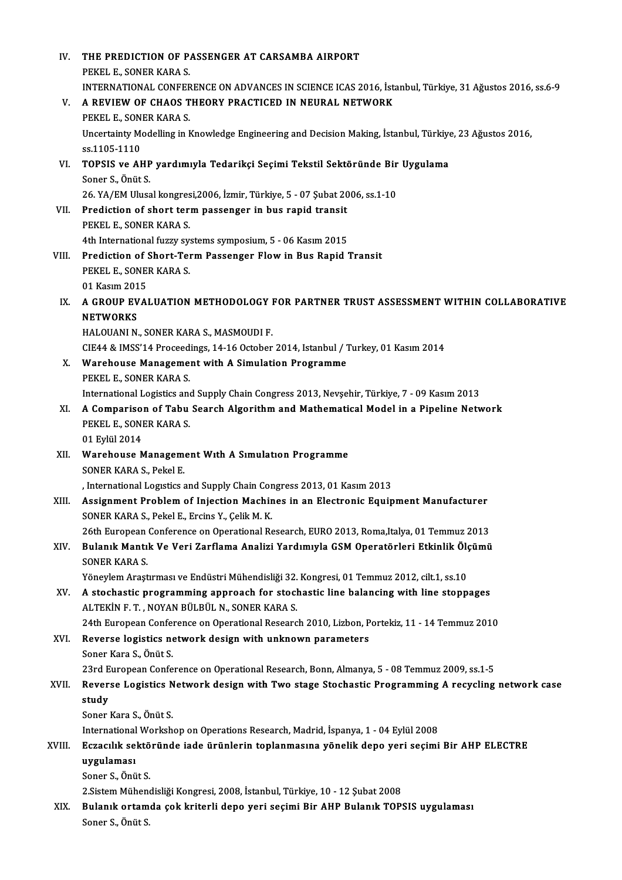| IV.    | THE PREDICTION OF PASSENGER AT CARSAMBA AIRPORT                                                                                                                 |
|--------|-----------------------------------------------------------------------------------------------------------------------------------------------------------------|
|        | PEKEL E, SONER KARA S.                                                                                                                                          |
|        | INTERNATIONAL CONFERENCE ON ADVANCES IN SCIENCE ICAS 2016, İstanbul, Türkiye, 31 Ağustos 2016, ss.6-9                                                           |
| V.     | A REVIEW OF CHAOS THEORY PRACTICED IN NEURAL NETWORK                                                                                                            |
|        | PEKEL E, SONER KARA S.                                                                                                                                          |
|        | Uncertainty Modelling in Knowledge Engineering and Decision Making, İstanbul, Türkiye, 23 Ağustos 2016,                                                         |
|        | ss 1105-1110                                                                                                                                                    |
| VI.    | TOPSIS ve AHP yardımıyla Tedarikçi Seçimi Tekstil Sektöründe Bir Uygulama                                                                                       |
|        | Soner S., Önüt S.                                                                                                                                               |
|        | 26. YA/EM Ulusal kongresi, 2006, İzmir, Türkiye, 5 - 07 Şubat 2006, ss. 1-10                                                                                    |
| VII.   | Prediction of short term passenger in bus rapid transit                                                                                                         |
|        | PEKEL E, SONER KARA S.                                                                                                                                          |
|        | 4th International fuzzy systems symposium, 5 - 06 Kasım 2015                                                                                                    |
| VIII.  | Prediction of Short-Term Passenger Flow in Bus Rapid Transit                                                                                                    |
|        | PEKEL E, SONER KARA S.<br>01 Kasım 2015                                                                                                                         |
| IX.    | A GROUP EVALUATION METHODOLOGY FOR PARTNER TRUST ASSESSMENT WITHIN COLLABORATIVE                                                                                |
|        | <b>NETWORKS</b>                                                                                                                                                 |
|        | HALOUANI N., SONER KARA S., MASMOUDI F.                                                                                                                         |
|        | CIE44 & IMSS'14 Proceedings, 14-16 October 2014, Istanbul / Turkey, 01 Kasım 2014                                                                               |
| X.     | Warehouse Management with A Simulation Programme                                                                                                                |
|        | PEKEL E., SONER KARA S.                                                                                                                                         |
|        | International Logistics and Supply Chain Congress 2013, Nevşehir, Türkiye, 7 - 09 Kasım 2013                                                                    |
| XI.    | A Comparison of Tabu Search Algorithm and Mathematical Model in a Pipeline Network                                                                              |
|        | PEKEL E, SONER KARA S.                                                                                                                                          |
|        | 01 Eylül 2014                                                                                                                                                   |
| XII.   | Warehouse Management With A Simulation Programme                                                                                                                |
|        | SONER KARA S., Pekel E.                                                                                                                                         |
|        | International Logistics and Supply Chain Congress 2013, 01 Kasim 2013                                                                                           |
| XIII.  | Assignment Problem of Injection Machines in an Electronic Equipment Manufacturer                                                                                |
|        | SONER KARA S., Pekel E., Ercins Y., Çelik M. K.<br>26th European Conference on Operational Research, EURO 2013, Roma, Italya, 01 Temmuz 2013                    |
| XIV.   | Bulanık Mantık Ve Veri Zarflama Analizi Yardımıyla GSM Operatörleri Etkinlik Ölçümü                                                                             |
|        | <b>SONER KARA S.</b>                                                                                                                                            |
|        | Yöneylem Araştırması ve Endüstri Mühendisliği 32. Kongresi, 01 Temmuz 2012, cilt.1, ss.10                                                                       |
| XV.    | A stochastic programming approach for stochastic line balancing with line stoppages                                                                             |
|        | ALTEKİN F. T., NOYAN BÜLBÜL N., SONER KARA S.                                                                                                                   |
|        | 24th European Conference on Operational Research 2010, Lizbon, Portekiz, 11 - 14 Temmuz 2010                                                                    |
| XVI.   | Reverse logistics network design with unknown parameters                                                                                                        |
|        | Soner Kara S., Önüt S.                                                                                                                                          |
|        | 23rd European Conference on Operational Research, Bonn, Almanya, 5 - 08 Temmuz 2009, ss.1-5                                                                     |
| XVII.  | Reverse Logistics Network design with Two stage Stochastic Programming A recycling network case                                                                 |
|        | study                                                                                                                                                           |
|        | Soner Kara S., Önüt S.                                                                                                                                          |
|        | International Workshop on Operations Research, Madrid, İspanya, 1 - 04 Eylül 2008                                                                               |
| XVIII. | Eczacılık sektöründe iade ürünlerin toplanmasına yönelik depo yeri seçimi Bir AHP ELECTRE                                                                       |
|        | uygulaması                                                                                                                                                      |
|        | Soner S., Önüt S.                                                                                                                                               |
| XIX.   | 2. Sistem Mühendisliği Kongresi, 2008, İstanbul, Türkiye, 10 - 12 Şubat 2008<br>Bulanık ortamda çok kriterli depo yeri seçimi Bir AHP Bulanık TOPSIS uygulaması |
|        | Soner S., Önüt S.                                                                                                                                               |
|        |                                                                                                                                                                 |